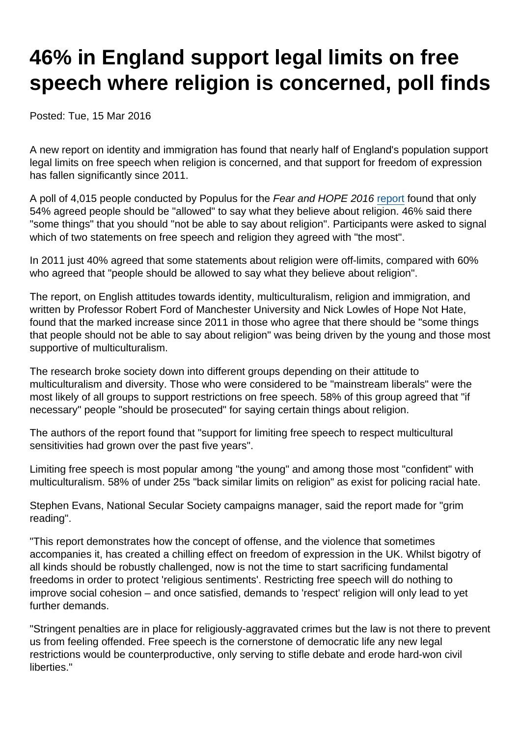## 46% in England support legal limits on free speech where religion is concerned, poll finds

Posted: Tue, 15 Mar 2016

A new report on identity and immigration has found that nearly half of England's population support legal limits on free speech when religion is concerned, and that support for freedom of expression has fallen significantly since 2011.

A poll of 4,015 people conducted by Populus for the Fear and HOPE 2016 [report](http://www.fearandhope.org.uk/) found that only 54% agreed people should be "allowed" to say what they believe about religion. 46% said there "some things" that you should "not be able to say about religion". Participants were asked to signal which of two statements on free speech and religion they agreed with "the most".

In 2011 just 40% agreed that some statements about religion were off-limits, compared with 60% who agreed that "people should be allowed to say what they believe about religion".

The report, on English attitudes towards identity, multiculturalism, religion and immigration, and written by Professor Robert Ford of Manchester University and Nick Lowles of Hope Not Hate, found that the marked increase since 2011 in those who agree that there should be "some things that people should not be able to say about religion" was being driven by the young and those most supportive of multiculturalism.

The research broke society down into different groups depending on their attitude to multiculturalism and diversity. Those who were considered to be "mainstream liberals" were the most likely of all groups to support restrictions on free speech. 58% of this group agreed that "if necessary" people "should be prosecuted" for saying certain things about religion.

The authors of the report found that "support for limiting free speech to respect multicultural sensitivities had grown over the past five years".

Limiting free speech is most popular among "the young" and among those most "confident" with multiculturalism. 58% of under 25s "back similar limits on religion" as exist for policing racial hate.

Stephen Evans, National Secular Society campaigns manager, said the report made for "grim reading".

"This report demonstrates how the concept of offense, and the violence that sometimes accompanies it, has created a chilling effect on freedom of expression in the UK. Whilst bigotry of all kinds should be robustly challenged, now is not the time to start sacrificing fundamental freedoms in order to protect 'religious sentiments'. Restricting free speech will do nothing to improve social cohesion – and once satisfied, demands to 'respect' religion will only lead to yet further demands.

"Stringent penalties are in place for religiously-aggravated crimes but the law is not there to prevent us from feeling offended. Free speech is the cornerstone of democratic life any new legal restrictions would be counterproductive, only serving to stifle debate and erode hard-won civil liberties."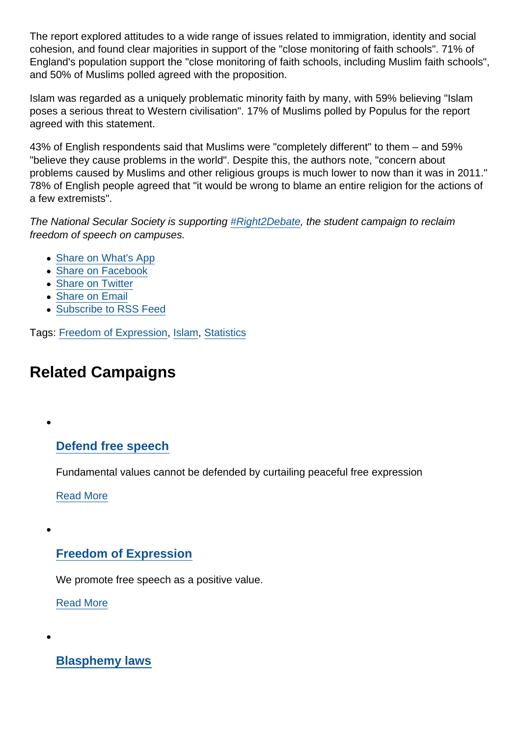The report explored attitudes to a wide range of issues related to immigration, identity and social cohesion, and found clear majorities in support of the "close monitoring of faith schools". 71% of England's population support the "close monitoring of faith schools, including Muslim faith schools", and 50% of Muslims polled agreed with the proposition.

Islam was regarded as a uniquely problematic minority faith by many, with 59% believing "Islam poses a serious threat to Western civilisation". 17% of Muslims polled by Populus for the report agreed with this statement.

43% of English respondents said that Muslims were "completely different" to them – and 59% "believe they cause problems in the world". Despite this, the authors note, "concern about problems caused by Muslims and other religious groups is much lower to now than it was in 2011." 78% of English people agreed that "it would be wrong to blame an entire religion for the actions of a few extremists".

The National Secular Society is supporting [#Right2Debate](http://www.right2debate.org/), the student campaign to reclaim freedom of speech on campuses.

- [Share on What's App](whatsapp://send?text=http://www.secularism.org.uk/news/2016/03/46-percent-in-england-support-legal-limits-on-free-speech-where-religion-is-concerned-poll-finds?format=pdf)
- [Share on Facebook](https://www.facebook.com/sharer/sharer.php?u=http://www.secularism.org.uk/news/2016/03/46-percent-in-england-support-legal-limits-on-free-speech-where-religion-is-concerned-poll-finds?format=pdf&t=46%+in+England+support+legal+limits+on+free+speech+where+religion+is+concerned,+poll+finds)
- [Share on Twitter](https://twitter.com/intent/tweet?url=http://www.secularism.org.uk/news/2016/03/46-percent-in-england-support-legal-limits-on-free-speech-where-religion-is-concerned-poll-finds?format=pdf&text=46%+in+England+support+legal+limits+on+free+speech+where+religion+is+concerned,+poll+finds&via=NatSecSoc)
- [Share on Email](https://www.secularism.org.uk/share.html?url=http://www.secularism.org.uk/news/2016/03/46-percent-in-england-support-legal-limits-on-free-speech-where-religion-is-concerned-poll-finds?format=pdf&title=46%+in+England+support+legal+limits+on+free+speech+where+religion+is+concerned,+poll+finds)
- [Subscribe to RSS Feed](/mnt/web-data/www/cp-nss/feeds/rss/news)

Tags: [Freedom of Expression](https://www.secularism.org.uk/news/tags/Freedom+of+Expression), [Islam,](https://www.secularism.org.uk/news/tags/Islam) [Statistics](https://www.secularism.org.uk/news/tags/Statistics)

## Related Campaigns

## [Defend free speech](https://www.secularism.org.uk/defend-free-speech/)

Fundamental values cannot be defended by curtailing peaceful free expression

[Read More](https://www.secularism.org.uk/defend-free-speech/)

## [Freedom of Expression](https://www.secularism.org.uk/free-expression/)

We promote free speech as a positive value.

[Read More](https://www.secularism.org.uk/free-expression/)

[Blasphemy laws](https://www.secularism.org.uk/blasphemy/)